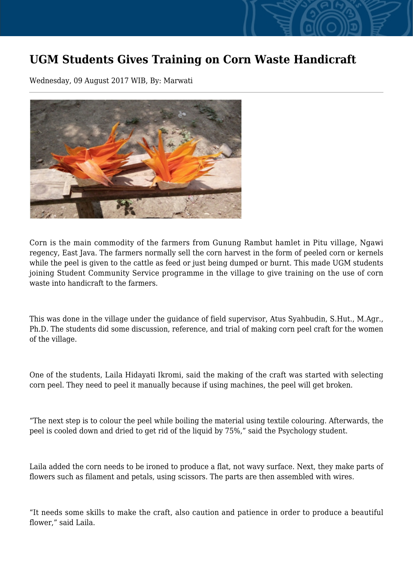## **UGM Students Gives Training on Corn Waste Handicraft**

Wednesday, 09 August 2017 WIB, By: Marwati



Corn is the main commodity of the farmers from Gunung Rambut hamlet in Pitu village, Ngawi regency, East Java. The farmers normally sell the corn harvest in the form of peeled corn or kernels while the peel is given to the cattle as feed or just being dumped or burnt. This made UGM students joining Student Community Service programme in the village to give training on the use of corn waste into handicraft to the farmers.

This was done in the village under the guidance of field supervisor, Atus Syahbudin, S.Hut., M.Agr., Ph.D. The students did some discussion, reference, and trial of making corn peel craft for the women of the village.

One of the students, Laila Hidayati Ikromi, said the making of the craft was started with selecting corn peel. They need to peel it manually because if using machines, the peel will get broken.

"The next step is to colour the peel while boiling the material using textile colouring. Afterwards, the peel is cooled down and dried to get rid of the liquid by 75%," said the Psychology student.

Laila added the corn needs to be ironed to produce a flat, not wavy surface. Next, they make parts of flowers such as filament and petals, using scissors. The parts are then assembled with wires.

"It needs some skills to make the craft, also caution and patience in order to produce a beautiful flower," said Laila.